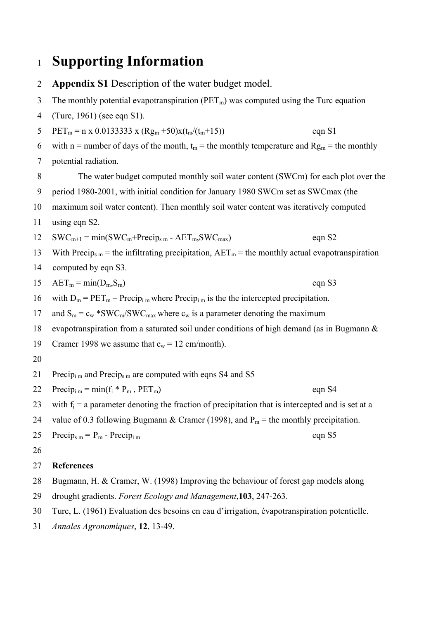## <sup>1</sup>**Supporting Information**

2 3 4 5 6 7 8 9 10 11 12 13 14 15 16 17 18 19 20 21 22 23 24 25 26 27 28 **Appendix S1** Description of the water budget model. The monthly potential evapotranspiration ( $PET_m$ ) was computed using the Turc equation (Turc, 1961) (see eqn S1).  $PET_m = n \times 0.0133333 \times (Rg_m + 50) \times (t_m/(t_m+15))$  eqn S1 with n = number of days of the month,  $t_m$  = the monthly temperature and  $Rg_m$  = the monthly potential radiation. The water budget computed monthly soil water content (SWCm) for each plot over the period 1980-2001, with initial condition for January 1980 SWCm set as SWCmax (the maximum soil water content). Then monthly soil water content was iteratively computed using eqn S2.  $SWC_{m+1} = min(SWC_m + Precip_{s_m} - AET_m, SWC_{max})$  eqn S2 With Precip<sub>s m</sub> = the infiltrating precipitation,  $AET_m$  = the monthly actual evapotranspiration computed by eqn S3.  $AET_m = min(D_m, S_m)$  eqn S3 with  $D_m = PET_m - Precip_{i m}$  where Precip<sub>im</sub> is the the intercepted precipitation. and  $S_m = c_w * SWC_m/SWC_{max}$  where  $c_w$  is a parameter denoting the maximum evapotranspiration from a saturated soil under conditions of high demand (as in Bugmann & Cramer 1998 we assume that  $c_w = 12$  cm/month). Precip<sub>im</sub> and Precip<sub>s m</sub> are computed with eqns S4 and S5  $Precip_{im} = min(f_i * P_m, PET_m)$  eqn S4 with  $f_i = a$  parameter denoting the fraction of precipitation that is intercepted and is set at a value of 0.3 following Bugmann & Cramer (1998), and  $P_m$  = the monthly precipitation.  $Precip<sub>s m</sub> = P<sub>m</sub> - Precip<sub>i m</sub>$  eqn S5 **References**  Bugmann, H. & Cramer, W. (1998) Improving the behaviour of forest gap models along

- 29 drought gradients. *Forest Ecology and Management*,**103**, 247-263.
- 30 Turc, L. (1961) Evaluation des besoins en eau d'irrigation, évapotranspiration potentielle.
- 31 *Annales Agronomiques*, **12**, 13-49.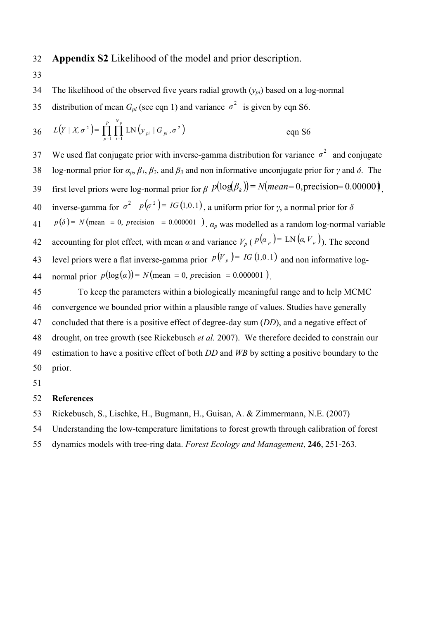32 **Appendix S2** Likelihood of the model and prior description.

- 33
- 34 The likelihood of the observed five years radial growth (*ypi*) based on a log-normal
- distribution of mean  $G_{pi}$  (see eqn 1) and variance  $\sigma^2$  is given by eqn S6.

36 
$$
L(Y | X, \sigma^2) = \prod_{p=1}^{P} \prod_{i=1}^{N_p} LN(y_{pi} | G_{pi}, \sigma^2)
$$
 eqn S6

We used flat conjugate prior with inverse-gamma distribution for variance  $\sigma^2$  and conjugate **38** bog-normal prior for  $α<sub>p</sub>, β<sub>1</sub>, β<sub>2</sub>$ , and  $β<sub>3</sub>$  and non informative unconjugate prior for *γ* and  $δ$ . The 37 first level priors were log-normal prior for *β*  $p(\log(\beta_k)) = N(mean=0, \text{precision}=0.00000)$ 40 inverse-gamma for  $\sigma^2$   $p(\sigma^2) = IG(1, 0.1)$ , a uniform prior for *γ*, a normal prior for *δ* 39  $p(\delta) = N$  (mean = 0, precision = 0.000001 ).  $\alpha_p$  was modelled as a random log-normal variable accounting for plot effect, with mean  $\alpha$  and variance  $V_p$  ( $p(\alpha_p)$  = LN  $(\alpha, V_p)$ ). The second 41 level priors were a flat inverse-gamma prior  $p(V_p) = IG(1,0.1)$  and non informative log-42 44 normal prior  $p(\log(\alpha)) = N(\text{mean} = 0, \text{ precision} = 0.000001)$ . 43

45 46 47 48 49 50 To keep the parameters within a biologically meaningful range and to help MCMC convergence we bounded prior within a plausible range of values. Studies have generally concluded that there is a positive effect of degree-day sum (*DD*), and a negative effect of drought, on tree growth (see Rickebusch *et al.* 2007). We therefore decided to constrain our estimation to have a positive effect of both *DD* and *WB* by setting a positive boundary to the prior.

51

## 52 **References**

- 53 Rickebusch, S., Lischke, H., Bugmann, H., Guisan, A. & Zimmermann, N.E. (2007)
- 54 Understanding the low-temperature limitations to forest growth through calibration of forest
- 55 dynamics models with tree-ring data. *Forest Ecology and Management*, **246**, 251-263.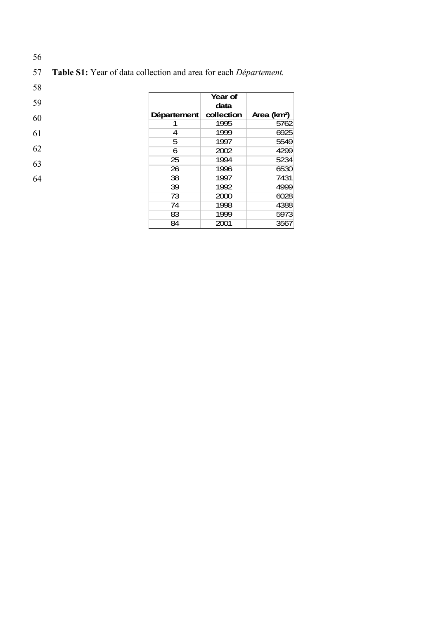| 57 Table S1: Year of data collection and area for each <i>Département</i> . |  |
|-----------------------------------------------------------------------------|--|
|                                                                             |  |

58

|    |             | Year of    |                         |
|----|-------------|------------|-------------------------|
| 59 |             | data       |                         |
| 60 | Département | collection | Area (km <sup>2</sup> ) |
|    |             | 1995       | 5762                    |
| 61 | 4           | 1999       | 6925                    |
|    | 5           | 1997       | 5549                    |
| 62 | 6           | 2002       | 4299                    |
| 63 | 25          | 1994       | 5234                    |
|    | 26          | 1996       | 6530                    |
| 64 | 38          | 1997       | 7431                    |
|    | 39          | 1992       | 4999                    |
|    | 73          | 2000       | 6028                    |
|    | 74          | 1998       | 4388                    |
|    | 83          | 1999       | 5973                    |
|    | 84          | 2001       | 3567                    |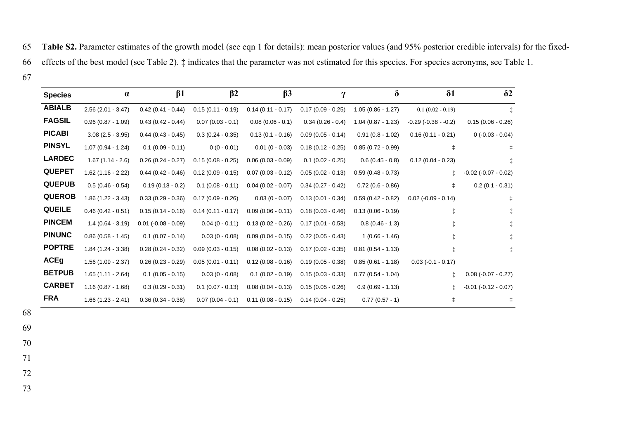Table S2. Parameter estimates of the growth model (see eqn 1 for details): mean posterior values (and 95% posterior credible intervals) for the fixedfiects of the best model (see Table 2).  $\ddagger$  indicates that the parameter was not estimated for this species. For species acronyms, see Table 1.

| <b>Species</b> | $\alpha$            | $\beta$ 1             | $\beta$ 2           | $\beta$ 3            | γ                   | δ                   | $\delta$ 1                | $\delta$ 2               |
|----------------|---------------------|-----------------------|---------------------|----------------------|---------------------|---------------------|---------------------------|--------------------------|
| <b>ABIALB</b>  | $2.56(2.01 - 3.47)$ | $0.42(0.41 - 0.44)$   | $0.15(0.11 - 0.19)$ | $0.14(0.11 - 0.17)$  | $0.17(0.09 - 0.25)$ | $1.05(0.86 - 1.27)$ | $0.1(0.02 - 0.19)$        | ‡.                       |
| <b>FAGSIL</b>  | $0.96(0.87 - 1.09)$ | $0.43(0.42 - 0.44)$   | $0.07(0.03 - 0.1)$  | $0.08(0.06 - 0.1)$   | $0.34(0.26 - 0.4)$  | $1.04(0.87 - 1.23)$ | $-0.29$ ( $-0.38 - 0.2$ ) | $0.15(0.06 - 0.26)$      |
| <b>PICABI</b>  | $3.08(2.5 - 3.95)$  | $0.44$ (0.43 - 0.45)  | $0.3(0.24 - 0.35)$  | $0.13(0.1 - 0.16)$   | $0.09(0.05 - 0.14)$ | $0.91(0.8 - 1.02)$  | $0.16(0.11 - 0.21)$       | $0(-0.03 - 0.04)$        |
| <b>PINSYL</b>  | $1.07(0.94 - 1.24)$ | $0.1(0.09 - 0.11)$    | $0(0 - 0.01)$       | $0.01(0 - 0.03)$     | $0.18(0.12 - 0.25)$ | $0.85(0.72 - 0.99)$ | $\ddagger$                | $\ddagger$               |
| <b>LARDEC</b>  | $1.67(1.14 - 2.6)$  | $0.26(0.24 - 0.27)$   | $0.15(0.08 - 0.25)$ | $0.06(0.03 - 0.09)$  | $0.1 (0.02 - 0.25)$ | $0.6(0.45 - 0.8)$   | $0.12(0.04 - 0.23)$       |                          |
| <b>QUEPET</b>  | $1.62(1.16 - 2.22)$ | $0.44(0.42 - 0.46)$   | $0.12(0.09 - 0.15)$ | $0.07(0.03 - 0.12)$  | $0.05(0.02 - 0.13)$ | $0.59(0.48 - 0.73)$ |                           | $-0.02$ $(-0.07 - 0.02)$ |
| <b>QUEPUB</b>  | $0.5(0.46 - 0.54)$  | $0.19(0.18 - 0.2)$    | $0.1(0.08 - 0.11)$  | $0.04$ (0.02 - 0.07) | $0.34(0.27 - 0.42)$ | $0.72(0.6 - 0.86)$  | $\ddagger$                | $0.2(0.1 - 0.31)$        |
| <b>QUEROB</b>  | $1.86(1.22 - 3.43)$ | $0.33(0.29 - 0.36)$   | $0.17(0.09 - 0.26)$ | $0.03(0 - 0.07)$     | $0.13(0.01 - 0.34)$ | $0.59(0.42 - 0.82)$ | $0.02$ (-0.09 - 0.14)     | ŧ                        |
| <b>QUEILE</b>  | $0.46(0.42 - 0.51)$ | $0.15(0.14 - 0.16)$   | $0.14(0.11 - 0.17)$ | $0.09(0.06 - 0.11)$  | $0.18(0.03 - 0.46)$ | $0.13(0.06 - 0.19)$ |                           |                          |
| <b>PINCEM</b>  | $1.4(0.64 - 3.19)$  | $0.01 (-0.08 - 0.09)$ | $0.04(0 - 0.11)$    | $0.13(0.02 - 0.26)$  | $0.17(0.01 - 0.58)$ | $0.8(0.46 - 1.3)$   |                           |                          |
| <b>PINUNC</b>  | $0.86(0.58 - 1.45)$ | $0.1(0.07 - 0.14)$    | $0.03(0 - 0.08)$    | $0.09(0.04 - 0.15)$  | $0.22(0.05 - 0.43)$ | $1(0.66 - 1.46)$    |                           |                          |
| <b>POPTRE</b>  | $1.84(1.24 - 3.38)$ | $0.28(0.24 - 0.32)$   | $0.09(0.03 - 0.15)$ | $0.08(0.02 - 0.13)$  | $0.17(0.02 - 0.35)$ | $0.81(0.54 - 1.13)$ |                           |                          |
| <b>ACEg</b>    | $1.56(1.09 - 2.37)$ | $0.26(0.23 - 0.29)$   | $0.05(0.01 - 0.11)$ | $0.12(0.08 - 0.16)$  | $0.19(0.05 - 0.38)$ | $0.85(0.61 - 1.18)$ | $0.03 (-0.1 - 0.17)$      |                          |
| <b>BETPUB</b>  | $1.65(1.11 - 2.64)$ | $0.1(0.05 - 0.15)$    | $0.03(0 - 0.08)$    | $0.1(0.02 - 0.19)$   | $0.15(0.03 - 0.33)$ | $0.77(0.54 - 1.04)$ |                           | $0.08(-0.07 - 0.27)$     |
| <b>CARBET</b>  | $1.16(0.87 - 1.68)$ | $0.3(0.29 - 0.31)$    | $0.1(0.07 - 0.13)$  | $0.08(0.04 - 0.13)$  | $0.15(0.05 - 0.26)$ | $0.9(0.69 - 1.13)$  | İ.                        | $-0.01$ $(-0.12 - 0.07)$ |
| <b>FRA</b>     | $1.66(1.23 - 2.41)$ | $0.36(0.34 - 0.38)$   | $0.07(0.04 - 0.1)$  | $0.11(0.08 - 0.15)$  | $0.14(0.04 - 0.25)$ | $0.77(0.57 - 1)$    |                           | $\ddagger$               |

72 73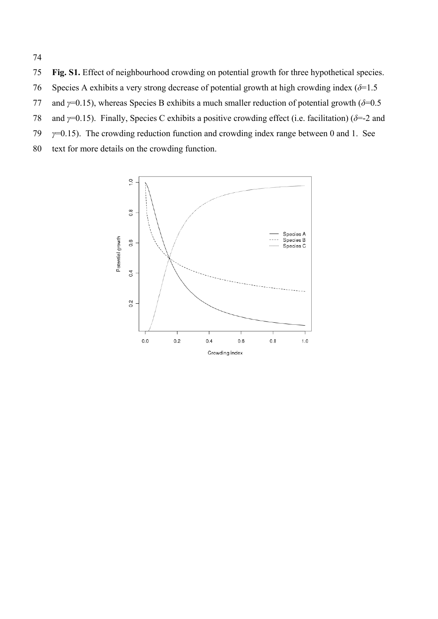Fig. S1. Effect of neighbourhood crowding on potential growth for three hypothetical species. Species A exhibits a very strong decrease of potential growth at high crowding index  $(\delta=1.5)$ and *γ*=0.15), whereas Species B exhibits a much smaller reduction of potential growth (*δ*=0.5 and *γ*=0.15). Finally, Species C exhibits a positive crowding effect (i.e. facilitation) (*δ*=-2 and *γ*=0.15). The crowding reduction function and crowding index range between 0 and 1. See

 text for more details on the crowding function.

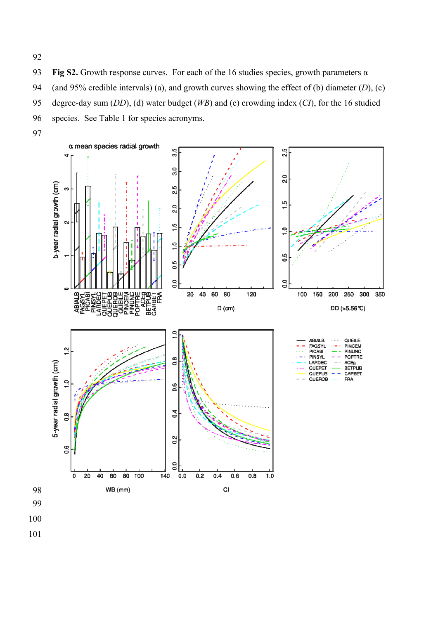**Fig S2.** Growth response curves. For each of the 16 studies species, growth parameters  $\alpha$ (and 95% credible intervals) (a), and growth curves showing the effect of (b) diameter (*D*), (c) degree-day sum (*DD*), (d) water budget (*WB*) and (e) crowding index (*CI*), for the 16 studied species. See Table 1 for species acronyms.